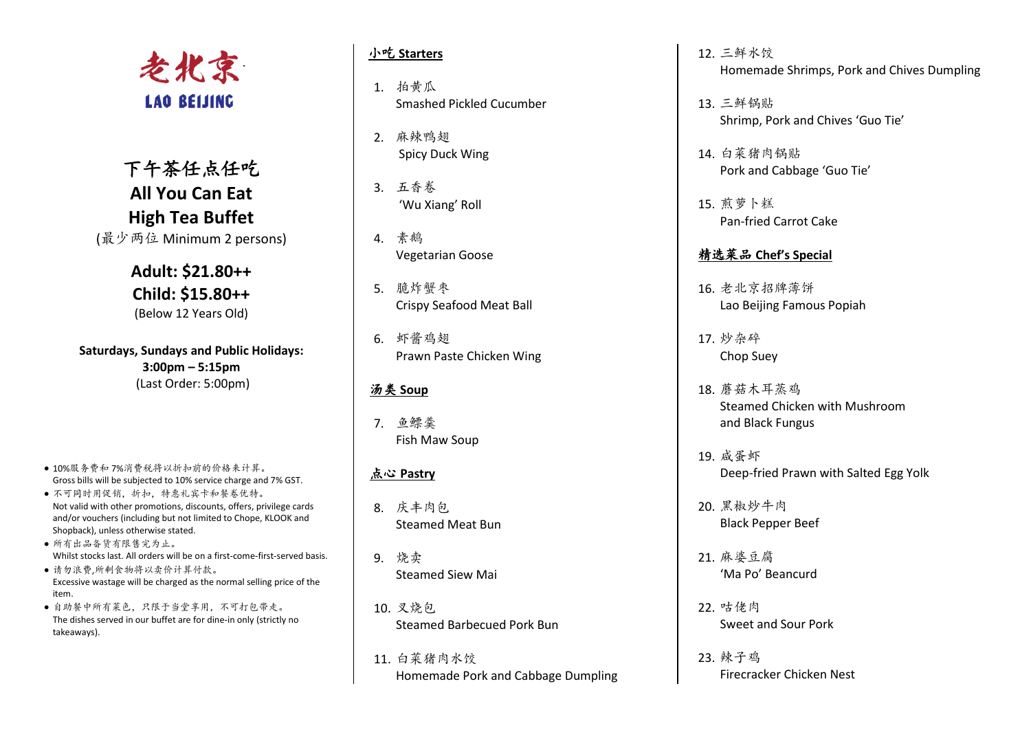

下午茶任点任吃 **All You Can Eat High Tea Buffet** (最少两位 Minimum 2 persons)

> **Adult: \$21.80++ Child: \$15.80++** (Below 12 Years Old)

**Saturdays, Sundays and Public Holidays: 3:00pm – 5:15pm** (Last Order: 5:00pm)

- 10%服务费和 7%消费税将以折扣前的价格来计算。 Gross bills will be subjected to 10% service charge and 7% GST.
- 不可同时用促销,折扣,特惠礼宾卡和餐卷优特。 Not valid with other promotions, discounts, offers, privilege cards and/or vouchers (including but not limited to Chope, KLOOK and Shopback), unless otherwise stated.
- 所有出品备货有限售完为止。 Whilst stocks last. All orders will be on a first-come-first-served basis.
- 请勿浪费,所剩食物将以卖价计算付款。 Excessive wastage will be charged as the normal selling price of the item.
- 自助餐中所有菜色,只限于当堂享用,不可打包带走。 The dishes served in our buffet are for dine-in only (strictly no takeaways).

## 小吃 **Starters**

- 1. 拍黄瓜 Smashed Pickled Cucumber
- 2. 麻辣鸭翅 Spicy Duck Wing
- 3. 五香卷 'Wu Xiang' Roll
- 4. 素鹅 Vegetarian Goose
- 5. 脆炸蟹枣 Crispy Seafood Meat Ball
- 6. 虾酱鸡翅 Prawn Paste Chicken Wing

## 汤类 **Soup**

7. 鱼鳔羹 Fish Maw Soup

# 点心 **Pastry**

- 8. 庆丰肉包 Steamed Meat Bun
- 9. 烧卖 Steamed Siew Mai
- 10. 叉烧包 Steamed Barbecued Pork Bun
- 11. 白菜猪肉水饺 Homemade Pork and Cabbage Dumpling
- 12. 三鲜水饺 Homemade Shrimps, Pork and Chives Dumpling
- 13. 三鲜锅贴 Shrimp, Pork and Chives 'Guo Tie'
- 14. 白菜猪肉锅贴 Pork and Cabbage 'Guo Tie'
- 15. 煎萝卜糕 Pan-fried Carrot Cake

# 精选菜品 **Chef's Special**

- 16. 老北京招牌薄饼 Lao Beijing Famous Popiah
- 17. 炒杂碎 Chop Suey
- 18. 蘑菇木耳蒸鸡 Steamed Chicken with Mushroom and Black Fungus
- 19. 咸蛋虾 Deep-fried Prawn with Salted Egg Yolk
- 20. 黑椒炒牛肉 Black Pepper Beef
- 21. 麻婆豆腐 'Ma Po' Beancurd
- 22. 咕佬肉 Sweet and Sour Pork
- 23. 辣子鸡 Firecracker Chicken Nest